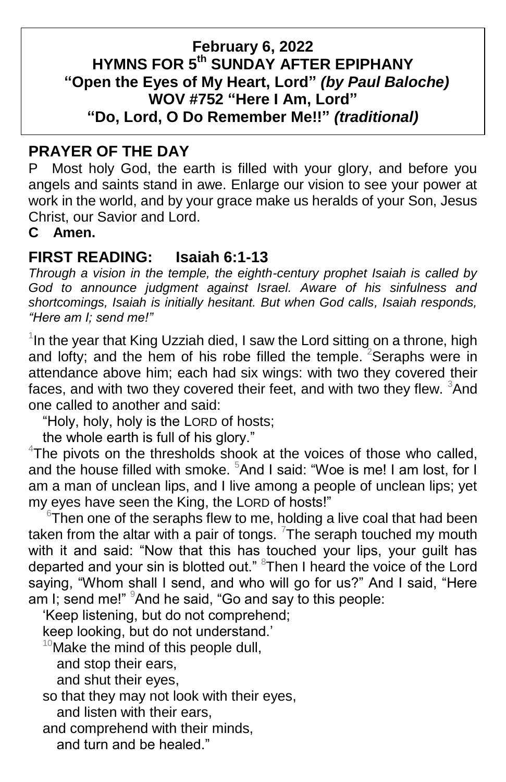#### **February 6, 2022 HYMNS FOR 5 th SUNDAY AFTER EPIPHANY "Open the Eyes of My Heart, Lord"** *(by Paul Baloche)* **WOV #752 "Here I Am, Lord" "Do, Lord, O Do Remember Me!!"** *(traditional)*

## **PRAYER OF THE DAY**

P Most holy God, the earth is filled with your glory, and before you angels and saints stand in awe. Enlarge our vision to see your power at work in the world, and by your grace make us heralds of your Son, Jesus Christ, our Savior and Lord.

**C Amen.**

# **FIRST READING: Isaiah 6:1-13**

*Through a vision in the temple, the eighth-century prophet Isaiah is called by God to announce judgment against Israel. Aware of his sinfulness and shortcomings, Isaiah is initially hesitant. But when God calls, Isaiah responds, "Here am I; send me!"*

 $1$ In the year that King Uzziah died, I saw the Lord sitting on a throne, high and lofty; and the hem of his robe filled the temple.  $2$ Seraphs were in attendance above him; each had six wings: with two they covered their faces, and with two they covered their feet, and with two they flew. <sup>3</sup>And one called to another and said:

"Holy, holy, holy is the LORD of hosts;

the whole earth is full of his glory."

 $4$ The pivots on the thresholds shook at the voices of those who called, and the house filled with smoke. <sup>5</sup>And I said: "Woe is me! I am lost, for I am a man of unclean lips, and I live among a people of unclean lips; yet my eyes have seen the King, the LORD of hosts!"

 $6$ Then one of the seraphs flew to me, holding a live coal that had been taken from the altar with a pair of tongs. <sup>7</sup>The seraph touched my mouth with it and said: "Now that this has touched your lips, your guilt has departed and your sin is blotted out." <sup>8</sup>Then I heard the voice of the Lord saying, "Whom shall I send, and who will go for us?" And I said, "Here am I; send me!"  $9$ And he said, "Go and say to this people:

'Keep listening, but do not comprehend;

keep looking, but do not understand.'

 $10^{\circ}$ Make the mind of this people dull,

and stop their ears,

and shut their eyes,

so that they may not look with their eyes,

and listen with their ears,

and comprehend with their minds,

and turn and be healed."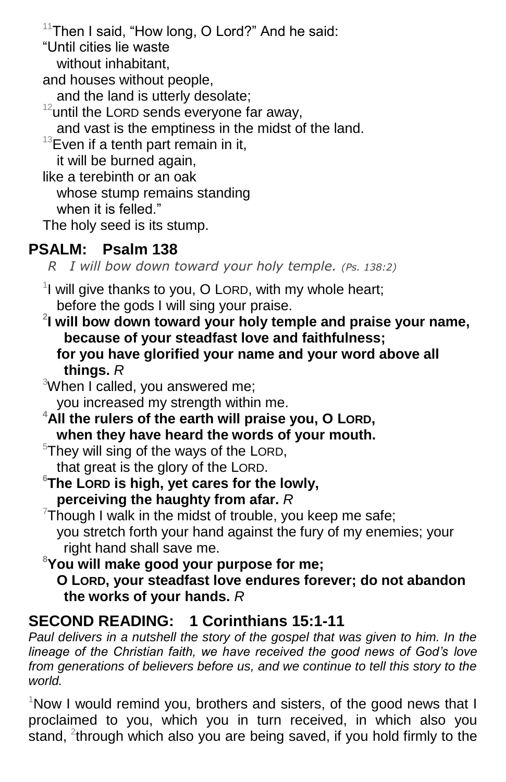$11$ Then I said, "How long, O Lord?" And he said: "Until cities lie waste without inhabitant, and houses without people, and the land is utterly desolate;  $12$  until the LORD sends everyone far away, and vast is the emptiness in the midst of the land.  $13$ Even if a tenth part remain in it, it will be burned again, like a terebinth or an oak whose stump remains standing when it is felled." The holy seed is its stump.

# **PSALM: Psalm 138**

 *R I will bow down toward your holy temple. (Ps. 138:2)*

 $1$  will give thanks to you, O LORD, with my whole heart; before the gods I will sing your praise.

**2 I will bow down toward your holy temple and praise your name, because of your steadfast love and faithfulness; for you have glorified your name and your word above all things.** *R*

<sup>3</sup>When I called, you answered me; you increased my strength within me.

**<sup>4</sup>All the rulers of the earth will praise you, O LORD, when they have heard the words of your mouth.**

 $5$ They will sing of the ways of the LORD, that great is the glory of the LORD.

**<sup>6</sup>The LORD is high, yet cares for the lowly, perceiving the haughty from afar.** *R*

 $7$ Though I walk in the midst of trouble, you keep me safe; you stretch forth your hand against the fury of my enemies; your right hand shall save me.

**<sup>8</sup>You will make good your purpose for me; O LORD, your steadfast love endures forever; do not abandon the works of your hands.** *R*

# **SECOND READING: 1 Corinthians 15:1-11**

*Paul delivers in a nutshell the story of the gospel that was given to him. In the lineage of the Christian faith, we have received the good news of God's love from generations of believers before us, and we continue to tell this story to the world.*

 $1$ Now I would remind you, brothers and sisters, of the good news that I proclaimed to you, which you in turn received, in which also you stand,  $2$ through which also you are being saved, if you hold firmly to the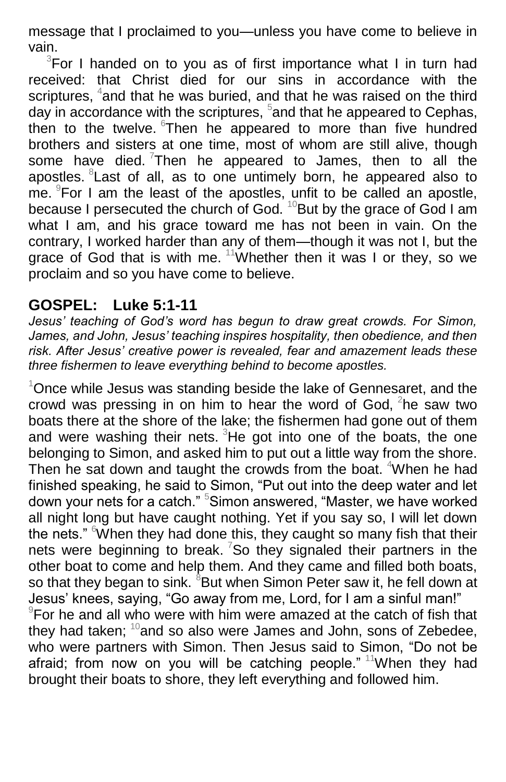message that I proclaimed to you—unless you have come to believe in vain.

 $3$ For I handed on to you as of first importance what I in turn had received: that Christ died for our sins in accordance with the scriptures, <sup>4</sup>and that he was buried, and that he was raised on the third day in accordance with the scriptures,  $5$  and that he appeared to Cephas, then to the twelve. Then he appeared to more than five hundred brothers and sisters at one time, most of whom are still alive, though some have died.  $7$ Then he appeared to James, then to all the apostles. <sup>8</sup> Last of all, as to one untimely born, he appeared also to me.  $9$ For I am the least of the apostles, unfit to be called an apostle, because I persecuted the church of God.  $10B$ But by the grace of God I am what I am, and his grace toward me has not been in vain. On the contrary, I worked harder than any of them—though it was not I, but the grace of God that is with me. <sup>11</sup>Whether then it was I or they, so we proclaim and so you have come to believe.

## **GOSPEL: Luke 5:1-11**

*Jesus' teaching of God's word has begun to draw great crowds. For Simon, James, and John, Jesus' teaching inspires hospitality, then obedience, and then risk. After Jesus' creative power is revealed, fear and amazement leads these three fishermen to leave everything behind to become apostles.*

 $1$ Once while Jesus was standing beside the lake of Gennesaret, and the crowd was pressing in on him to hear the word of God,  ${}^{2}$ he saw two boats there at the shore of the lake; the fishermen had gone out of them and were washing their nets.  ${}^{3}$ He got into one of the boats, the one belonging to Simon, and asked him to put out a little way from the shore. Then he sat down and taught the crowds from the boat. <sup>4</sup>When he had finished speaking, he said to Simon, "Put out into the deep water and let down your nets for a catch." <sup>5</sup>Simon answered, "Master, we have worked all night long but have caught nothing. Yet if you say so, I will let down the nets." When they had done this, they caught so many fish that their nets were beginning to break. <sup>7</sup>So they signaled their partners in the other boat to come and help them. And they came and filled both boats, so that they began to sink. <sup>8</sup>But when Simon Peter saw it, he fell down at Jesus' knees, saying, "Go away from me, Lord, for I am a sinful man!" 9 For he and all who were with him were amazed at the catch of fish that they had taken;  $10^{\circ}$  and so also were James and John, sons of Zebedee, who were partners with Simon. Then Jesus said to Simon, "Do not be afraid; from now on you will be catching people."  $11$ When they had brought their boats to shore, they left everything and followed him.